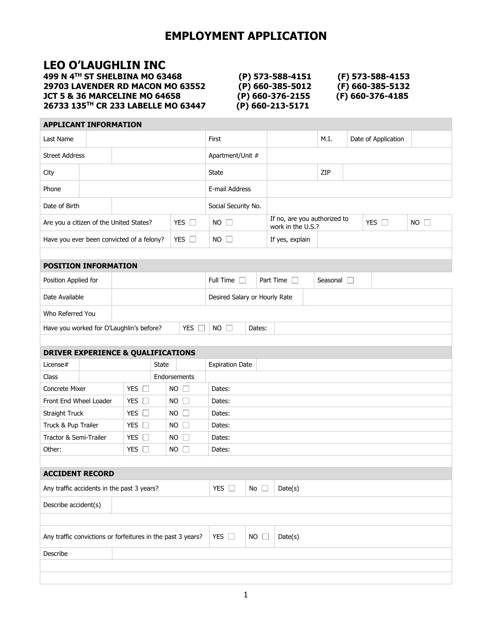## **LEO O'LAUGHLIN INC**

**499 N 4TH ST SHELBINA MO 63468 (P) 573-588-4151 (F) 573-588-4153 29703 LAVENDER RD MACON MO 63552 (P) 660-385-5012 (F) 660-385-5132 JCT 5 & 36 MARCELINE MO 64658 (P) 660-376-2155 (F) 660-376-4185 26733 135TH CR 233 LABELLE MO 63447 (P) 660-213-5171**

### **APPLICANT INFORMATION**

| Last Name                                                                 |  |                                               |                  |                       | First                         |                 |                                                                    | M.I.               |  | Date of Application |  |
|---------------------------------------------------------------------------|--|-----------------------------------------------|------------------|-----------------------|-------------------------------|-----------------|--------------------------------------------------------------------|--------------------|--|---------------------|--|
| <b>Street Address</b>                                                     |  |                                               | Apartment/Unit # |                       |                               |                 |                                                                    |                    |  |                     |  |
| City                                                                      |  |                                               |                  |                       | State                         |                 |                                                                    | ZIP                |  |                     |  |
| Phone                                                                     |  |                                               |                  |                       | E-mail Address                |                 |                                                                    |                    |  |                     |  |
| Date of Birth                                                             |  |                                               |                  |                       | Social Security No.           |                 |                                                                    |                    |  |                     |  |
|                                                                           |  | Are you a citizen of the United States?       |                  | YES $\square$         | $NO$ $\Box$                   |                 | If no, are you authorized to<br>YES $\square$<br>work in the U.S.? |                    |  | $NO$ $\Box$         |  |
|                                                                           |  | Have you ever been convicted of a felony?     |                  | YES $\square$         | $NO$ $\square$                | If yes, explain |                                                                    |                    |  |                     |  |
|                                                                           |  |                                               |                  |                       |                               |                 |                                                                    |                    |  |                     |  |
| <b>POSITION INFORMATION</b>                                               |  |                                               |                  |                       |                               |                 |                                                                    |                    |  |                     |  |
| Position Applied for                                                      |  |                                               |                  |                       | Full Time $\Box$              |                 | Part Time $\Box$                                                   | Seasonal $\square$ |  |                     |  |
| Date Available                                                            |  |                                               |                  |                       | Desired Salary or Hourly Rate |                 |                                                                    |                    |  |                     |  |
| Who Referred You                                                          |  |                                               |                  |                       |                               |                 |                                                                    |                    |  |                     |  |
|                                                                           |  | Have you worked for O'Laughlin's before?      |                  | <b>YES</b>            | $NO$ $\Box$                   | Dates:          |                                                                    |                    |  |                     |  |
|                                                                           |  |                                               |                  |                       |                               |                 |                                                                    |                    |  |                     |  |
|                                                                           |  | <b>DRIVER EXPERIENCE &amp; QUALIFICATIONS</b> |                  |                       |                               |                 |                                                                    |                    |  |                     |  |
| License#                                                                  |  |                                               | State            |                       | <b>Expiration Date</b>        |                 |                                                                    |                    |  |                     |  |
| Class                                                                     |  |                                               | Endorsements     |                       |                               |                 |                                                                    |                    |  |                     |  |
| Concrete Mixer                                                            |  | YES $\square$                                 |                  | NO<br>$\Box$          | Dates:                        |                 |                                                                    |                    |  |                     |  |
| Front End Wheel Loader                                                    |  | YES $\square$                                 |                  | $\Box$<br><b>NO</b>   | Dates:                        |                 |                                                                    |                    |  |                     |  |
| Straight Truck                                                            |  | YES $\square$                                 |                  | $\Box$<br>NO.         | Dates:                        |                 |                                                                    |                    |  |                     |  |
| Truck & Pup Trailer                                                       |  | YES $\Box$                                    |                  | $\Box$<br>NO.         | Dates:                        |                 |                                                                    |                    |  |                     |  |
| Tractor & Semi-Trailer                                                    |  | YES $\Box$                                    |                  | NO.<br>$\mathbb{R}^n$ | Dates:                        |                 |                                                                    |                    |  |                     |  |
| Other:                                                                    |  | YES $\square$                                 |                  | $\mathbb{R}^n$<br>NO. | Dates:                        |                 |                                                                    |                    |  |                     |  |
|                                                                           |  |                                               |                  |                       |                               |                 |                                                                    |                    |  |                     |  |
| <b>ACCIDENT RECORD</b>                                                    |  |                                               |                  |                       |                               |                 |                                                                    |                    |  |                     |  |
| <b>YES</b><br>Any traffic accidents in the past 3 years?<br>No<br>Date(s) |  |                                               |                  |                       |                               |                 |                                                                    |                    |  |                     |  |
| Describe accident(s)                                                      |  |                                               |                  |                       |                               |                 |                                                                    |                    |  |                     |  |
|                                                                           |  |                                               |                  |                       |                               |                 |                                                                    |                    |  |                     |  |
| Any traffic convictions or forfeitures in the past 3 years?               |  |                                               |                  | YES $\square$         | $NO \square$                  | Date(s)         |                                                                    |                    |  |                     |  |
| Describe                                                                  |  |                                               |                  |                       |                               |                 |                                                                    |                    |  |                     |  |
|                                                                           |  |                                               |                  |                       |                               |                 |                                                                    |                    |  |                     |  |
|                                                                           |  |                                               |                  |                       |                               |                 |                                                                    |                    |  |                     |  |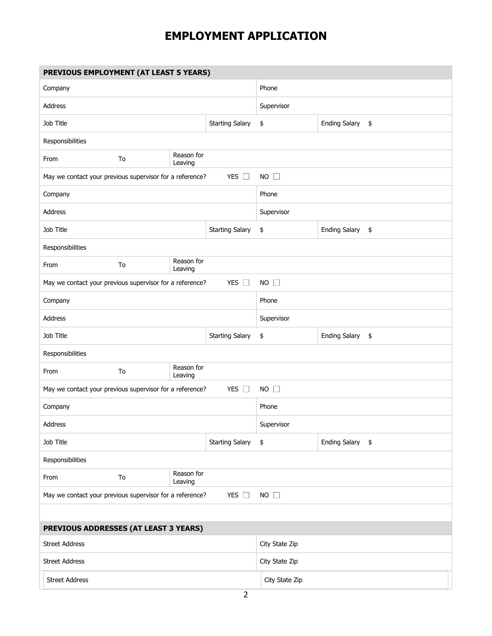| PREVIOUS EMPLOYMENT (AT LEAST 5 YEARS)                                                   |                             |                       |                        |                            |                            |  |  |  |  |
|------------------------------------------------------------------------------------------|-----------------------------|-----------------------|------------------------|----------------------------|----------------------------|--|--|--|--|
| Company                                                                                  |                             |                       | Phone                  |                            |                            |  |  |  |  |
| <b>Address</b>                                                                           |                             |                       | Supervisor             |                            |                            |  |  |  |  |
| Job Title                                                                                |                             |                       | <b>Starting Salary</b> | \$                         | <b>Ending Salary</b><br>\$ |  |  |  |  |
| Responsibilities                                                                         |                             |                       |                        |                            |                            |  |  |  |  |
| From                                                                                     | To                          | Reason for<br>Leaving |                        |                            |                            |  |  |  |  |
| May we contact your previous supervisor for a reference?                                 |                             |                       | YES $\square$          | $NO$ $\Box$                |                            |  |  |  |  |
| Company                                                                                  |                             |                       |                        | Phone                      |                            |  |  |  |  |
| <b>Address</b>                                                                           |                             |                       |                        | Supervisor                 |                            |  |  |  |  |
| Job Title                                                                                |                             |                       | <b>Starting Salary</b> | \$                         | <b>Ending Salary</b><br>\$ |  |  |  |  |
| Responsibilities                                                                         |                             |                       |                        |                            |                            |  |  |  |  |
| From                                                                                     | To                          | Reason for<br>Leaving |                        |                            |                            |  |  |  |  |
| May we contact your previous supervisor for a reference?                                 |                             |                       | YES $\square$          | $NO$ $\Box$                |                            |  |  |  |  |
| Company                                                                                  |                             |                       |                        | Phone                      |                            |  |  |  |  |
| Address                                                                                  |                             |                       |                        | Supervisor                 |                            |  |  |  |  |
| Job Title                                                                                |                             |                       | \$                     | <b>Ending Salary</b><br>\$ |                            |  |  |  |  |
| Responsibilities                                                                         |                             |                       |                        |                            |                            |  |  |  |  |
| From                                                                                     | Reason for<br>To<br>Leaving |                       |                        |                            |                            |  |  |  |  |
| YES $\square$<br>$NO$ $\Box$<br>May we contact your previous supervisor for a reference? |                             |                       |                        |                            |                            |  |  |  |  |
| Company                                                                                  |                             |                       | Phone                  |                            |                            |  |  |  |  |
| Address                                                                                  |                             |                       | Supervisor             |                            |                            |  |  |  |  |
| Job Title                                                                                |                             |                       | <b>Starting Salary</b> | \$                         | Ending Salary \$           |  |  |  |  |
| Responsibilities                                                                         |                             |                       |                        |                            |                            |  |  |  |  |
| From                                                                                     | To                          | Reason for<br>Leaving |                        |                            |                            |  |  |  |  |
| May we contact your previous supervisor for a reference?<br>YES $\square$<br>$NO$ $\Box$ |                             |                       |                        |                            |                            |  |  |  |  |
|                                                                                          |                             |                       |                        |                            |                            |  |  |  |  |
| PREVIOUS ADDRESSES (AT LEAST 3 YEARS)                                                    |                             |                       |                        |                            |                            |  |  |  |  |
| <b>Street Address</b>                                                                    |                             |                       | City State Zip         |                            |                            |  |  |  |  |
| <b>Street Address</b>                                                                    |                             |                       |                        | City State Zip             |                            |  |  |  |  |
| <b>Street Address</b>                                                                    |                             |                       |                        | City State Zip             |                            |  |  |  |  |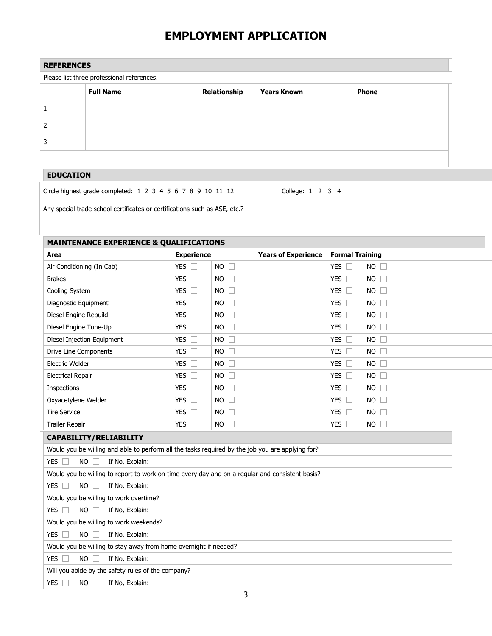| <b>REFERENCES</b>                          |                  |              |                    |       |  |
|--------------------------------------------|------------------|--------------|--------------------|-------|--|
| Please list three professional references. |                  |              |                    |       |  |
|                                            | <b>Full Name</b> | Relationship | <b>Years Known</b> | Phone |  |
|                                            |                  |              |                    |       |  |
|                                            |                  |              |                    |       |  |
|                                            |                  |              |                    |       |  |
|                                            |                  |              |                    |       |  |

### **EDUCATION**

Circle highest grade completed: 1 2 3 4 5 6 7 8 9 10 11 12 College: 1 2 3 4

Any special trade school certificates or certifications such as ASE, etc.?

### **MAINTENANCE EXPERIENCE & QUALIFICATIONS**

| Area                                                                                             | <b>Experience</b> |                     | <b>Years of Experience</b> | <b>Formal Training</b> |                |  |  |
|--------------------------------------------------------------------------------------------------|-------------------|---------------------|----------------------------|------------------------|----------------|--|--|
| Air Conditioning (In Cab)                                                                        | YES $\square$     | $NO$ $\Box$         |                            | YES $\square$          | $NO$ $\Box$    |  |  |
| <b>Brakes</b>                                                                                    | YES $\square$     | $\Box$<br><b>NO</b> |                            | YES $\Box$             | $NO \Box$      |  |  |
| Cooling System                                                                                   | YES $\square$     | $\Box$<br><b>NO</b> |                            | <b>YES</b><br>$\Box$   | NO             |  |  |
| Diagnostic Equipment                                                                             | YES $\Box$        | $NO$ $\Box$         |                            | <b>YES</b><br>$\Box$   | NO             |  |  |
| Diesel Engine Rebuild                                                                            | YES $\square$     | $\Box$<br><b>NO</b> |                            | YES $\square$          | $NO$ $\square$ |  |  |
| Diesel Engine Tune-Up                                                                            | YES $\square$     | $\Box$<br><b>NO</b> |                            | YES $\Box$             | $NO$ $\Box$    |  |  |
| Diesel Injection Equipment                                                                       | YES $\square$     | $\Box$<br><b>NO</b> |                            | <b>YES</b><br>$\Box$   | $NO$ $\Box$    |  |  |
| Drive Line Components                                                                            | YES $\Box$        | $\Box$<br><b>NO</b> |                            | <b>YES</b><br>$\Box$   | $NO$ $\Box$    |  |  |
| Electric Welder                                                                                  | YES $\square$     | $NO$ $\Box$         |                            | YES $\square$          | $NO$ $\square$ |  |  |
| <b>Electrical Repair</b>                                                                         | YES $\Box$        | $NO$ $\Box$         |                            | П<br>YES               | $NO$ $\Box$    |  |  |
| Inspections                                                                                      | YES $\Box$        | <b>NO</b><br>$\Box$ |                            | <b>YES</b><br>$\Box$   | $NO$ $\Box$    |  |  |
| Oxyacetylene Welder                                                                              | YES $\square$     | $NO$ $\Box$         |                            | <b>YES</b><br>П        | $NO$ $\Box$    |  |  |
| <b>Tire Service</b>                                                                              | YES $\Box$        | $\Box$<br><b>NO</b> |                            | <b>YES</b><br>$\Box$   | $NO \Box$      |  |  |
| Trailer Repair                                                                                   | YES $\Box$        | $NO$ $\Box$         |                            | YES $\Box$             | $NO \Box$      |  |  |
| CAPABILITY/RELIABILITY                                                                           |                   |                     |                            |                        |                |  |  |
| Would you be willing and able to perform all the tasks required by the job you are applying for? |                   |                     |                            |                        |                |  |  |
| <b>NO</b><br><b>YES</b><br>If No, Explain:                                                       |                   |                     |                            |                        |                |  |  |
| Would you be willing to report to work on time every day and on a regular and consistent basis?  |                   |                     |                            |                        |                |  |  |
| <b>YES</b><br><b>NO</b><br>Е<br>If No, Explain:                                                  |                   |                     |                            |                        |                |  |  |
| Would you be willing to work overtime?                                                           |                   |                     |                            |                        |                |  |  |
| YES $\square$<br>$NO$ $\Box$<br>If No, Explain:                                                  |                   |                     |                            |                        |                |  |  |
| Would you be willing to work weekends?                                                           |                   |                     |                            |                        |                |  |  |
| YES $\square$<br><b>NO</b><br>If No, Explain:                                                    |                   |                     |                            |                        |                |  |  |
| Would you be willing to stay away from home overnight if needed?                                 |                   |                     |                            |                        |                |  |  |
| <b>YES</b><br><b>NO</b><br>If No, Explain:                                                       |                   |                     |                            |                        |                |  |  |
| Will you abide by the safety rules of the company?                                               |                   |                     |                            |                        |                |  |  |
| <b>YES</b><br><b>NO</b><br>If No, Explain:                                                       |                   |                     |                            |                        |                |  |  |